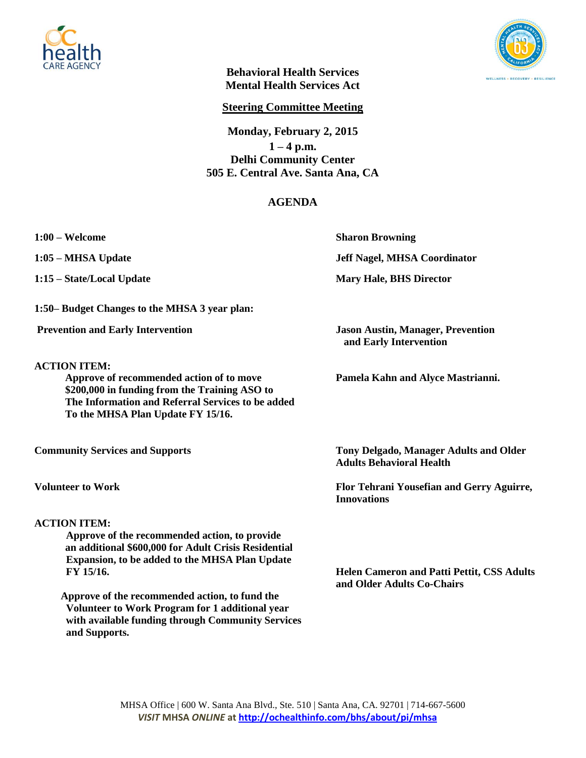



**Behavioral Health Services Mental Health Services Act**

**Steering Committee Meeting**

**Monday, February 2, 2015**  $1 - 4$  p.m. **Delhi Community Center 505 E. Central Ave. Santa Ana, CA**

## **AGENDA**

**1:50– Budget Changes to the MHSA 3 year plan:**

**ACTION ITEM:**

 **Approve of recommended action of to move Pamela Kahn and Alyce Mastrianni. \$200,000 in funding from the Training ASO to The Information and Referral Services to be added To the MHSA Plan Update FY 15/16.** 

## **ACTION ITEM:**

 **Approve of the recommended action, to provide an additional \$600,000 for Adult Crisis Residential Expansion, to be added to the MHSA Plan Update FY 15/16. Helen Cameron and Patti Pettit, CSS Adults** 

 **Approve of the recommended action, to fund the Volunteer to Work Program for 1 additional year with available funding through Community Services and Supports.**

**1:00 – Welcome Sharon Browning**

**1:05 – MHSA Update Jeff Nagel, MHSA Coordinator**

**1:15 – State/Local Update Mary Hale, BHS Director**

**Prevention and Early Intervention Jason Austin, Manager, Prevention and Early Intervention**

**Community Services and Supports Tony Delgado, Manager Adults and Older Tony Delgado, Manager Adults and Older Adults Behavioral Health**

**Volunteer to Work Flor Tehrani Yousefian and Gerry Aguirre, Innovations**

**and Older Adults Co-Chairs**